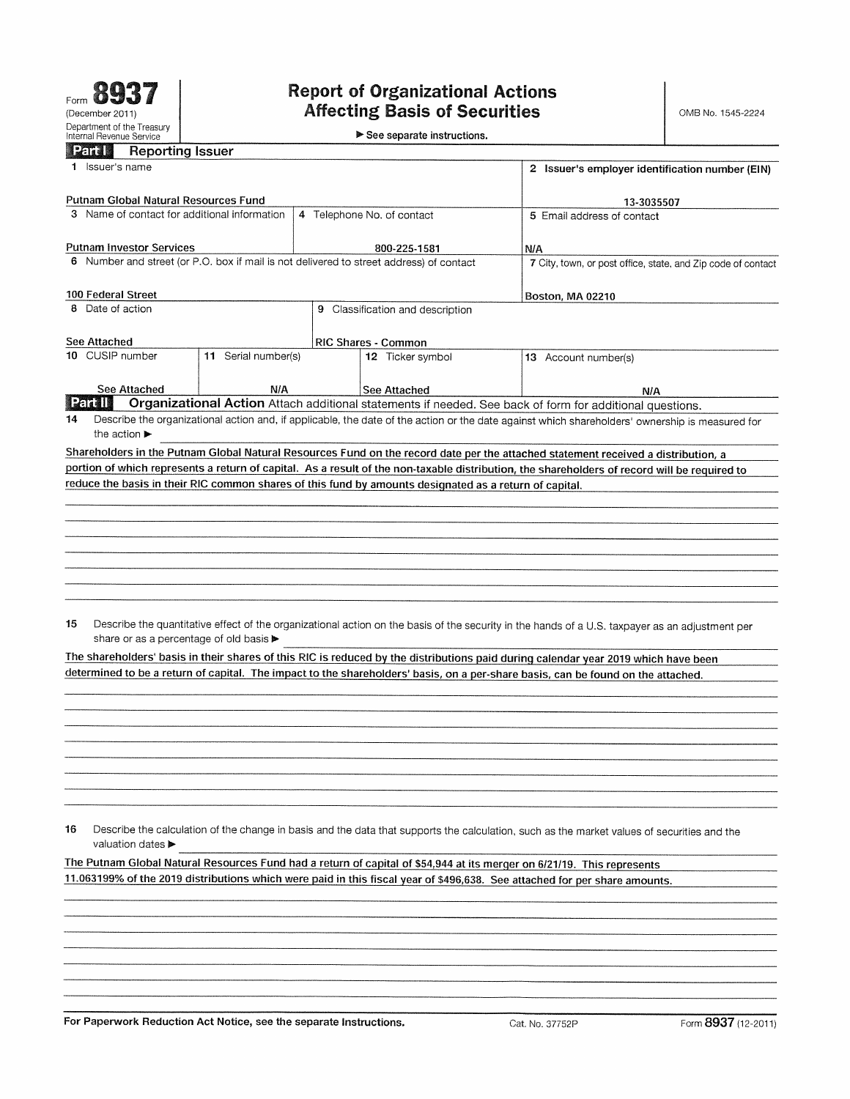$\blacktriangleright$  See separate instructions.

|                                              | <u>raal</u>                      | <b>Reporting Issuer</b>               |                                         |                                                                                                        |                                                                                                                                                 |  |
|----------------------------------------------|----------------------------------|---------------------------------------|-----------------------------------------|--------------------------------------------------------------------------------------------------------|-------------------------------------------------------------------------------------------------------------------------------------------------|--|
|                                              | 1 Issuer's name                  |                                       |                                         | 2 Issuer's employer identification number (EIN)                                                        |                                                                                                                                                 |  |
|                                              |                                  | Putnam Global Natural Resources Fund  |                                         | 13-3035507                                                                                             |                                                                                                                                                 |  |
| 3 Name of contact for additional information |                                  |                                       |                                         | 4 Telephone No. of contact                                                                             | 5 Email address of contact                                                                                                                      |  |
|                                              |                                  |                                       |                                         |                                                                                                        |                                                                                                                                                 |  |
|                                              |                                  | <b>Putnam Investor Services</b>       |                                         | N/A                                                                                                    |                                                                                                                                                 |  |
|                                              |                                  |                                       |                                         | 6 Number and street (or P.O. box if mail is not delivered to street address) of contact                | 7 City, town, or post office, state, and Zip code of contact                                                                                    |  |
|                                              | 100 Federal Street               |                                       |                                         |                                                                                                        | <b>Boston, MA 02210</b>                                                                                                                         |  |
|                                              | 8 Date of action                 |                                       |                                         | 9 Classification and description                                                                       |                                                                                                                                                 |  |
|                                              | See Attached                     |                                       |                                         | RIC Shares - Common                                                                                    |                                                                                                                                                 |  |
|                                              | 10 CUSIP number                  |                                       | 11 Serial number(s)                     | 12 Ticker symbol                                                                                       | 13 Account number(s)                                                                                                                            |  |
|                                              |                                  | See Attached                          | N/A                                     | See Attached                                                                                           | <b>N/A</b>                                                                                                                                      |  |
|                                              | <b>Each I</b>                    |                                       |                                         |                                                                                                        | Organizational Action Attach additional statements if needed. See back of form for additional questions.                                        |  |
| 14                                           | the action $\blacktriangleright$ |                                       |                                         |                                                                                                        | Describe the organizational action and, if applicable, the date of the action or the date against which shareholders' ownership is measured for |  |
|                                              |                                  |                                       |                                         |                                                                                                        | Shareholders in the Putnam Global Natural Resources Fund on the record date per the attached statement received a distribution, a               |  |
|                                              |                                  |                                       |                                         |                                                                                                        | portion of which represents a return of capital. As a result of the non-taxable distribution, the shareholders of record will be required to    |  |
|                                              |                                  |                                       |                                         | reduce the basis in their RIC common shares of this fund by amounts designated as a return of capital. |                                                                                                                                                 |  |
|                                              |                                  |                                       |                                         |                                                                                                        |                                                                                                                                                 |  |
|                                              |                                  |                                       |                                         |                                                                                                        |                                                                                                                                                 |  |
|                                              |                                  |                                       |                                         |                                                                                                        |                                                                                                                                                 |  |
|                                              |                                  |                                       |                                         |                                                                                                        |                                                                                                                                                 |  |
|                                              |                                  |                                       |                                         |                                                                                                        |                                                                                                                                                 |  |
|                                              |                                  |                                       |                                         |                                                                                                        |                                                                                                                                                 |  |
|                                              |                                  |                                       |                                         |                                                                                                        |                                                                                                                                                 |  |
| 15                                           |                                  |                                       | share or as a percentage of old basis > |                                                                                                        | Describe the quantitative effect of the organizational action on the basis of the security in the hands of a U.S. taxpayer as an adjustment per |  |
|                                              |                                  |                                       |                                         |                                                                                                        | The shareholders' basis in their shares of this RIC is reduced by the distributions paid during calendar year 2019 which have been              |  |
|                                              |                                  |                                       |                                         |                                                                                                        | determined to be a return of capital. The impact to the shareholders' basis, on a per-share basis, can be found on the attached.                |  |
|                                              |                                  |                                       |                                         |                                                                                                        |                                                                                                                                                 |  |
|                                              |                                  |                                       |                                         |                                                                                                        |                                                                                                                                                 |  |
|                                              |                                  |                                       |                                         |                                                                                                        |                                                                                                                                                 |  |
|                                              |                                  |                                       |                                         |                                                                                                        |                                                                                                                                                 |  |
|                                              |                                  |                                       |                                         |                                                                                                        |                                                                                                                                                 |  |
|                                              |                                  |                                       |                                         |                                                                                                        |                                                                                                                                                 |  |
|                                              |                                  |                                       |                                         |                                                                                                        |                                                                                                                                                 |  |
|                                              |                                  |                                       |                                         |                                                                                                        |                                                                                                                                                 |  |
|                                              |                                  |                                       |                                         |                                                                                                        |                                                                                                                                                 |  |
| 16                                           |                                  | valuation dates $\blacktriangleright$ |                                         |                                                                                                        | Describe the calculation of the change in basis and the data that supports the calculation, such as the market values of securities and the     |  |
|                                              |                                  |                                       |                                         |                                                                                                        | The Putnam Global Natural Resources Fund had a return of capital of \$54,944 at its merger on 6/21/19. This represents                          |  |
|                                              |                                  |                                       |                                         |                                                                                                        | 11.063199% of the 2019 distributions which were paid in this fiscal year of \$496,638. See attached for per share amounts.                      |  |
|                                              |                                  |                                       |                                         |                                                                                                        |                                                                                                                                                 |  |
|                                              |                                  |                                       |                                         |                                                                                                        |                                                                                                                                                 |  |
|                                              |                                  |                                       |                                         |                                                                                                        |                                                                                                                                                 |  |
|                                              |                                  |                                       |                                         |                                                                                                        |                                                                                                                                                 |  |
|                                              |                                  |                                       |                                         |                                                                                                        |                                                                                                                                                 |  |
|                                              |                                  |                                       |                                         |                                                                                                        |                                                                                                                                                 |  |
|                                              |                                  |                                       |                                         |                                                                                                        |                                                                                                                                                 |  |